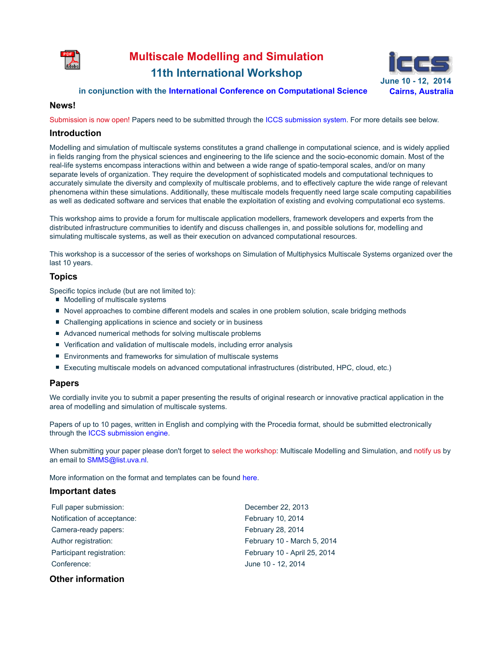

# **Multiscale Modelling and Simulation 11th International Workshop June 10 - 12, 2014**



### **in conjunction with the International Conference on Computational Science Cairns, Australia**

#### **News!**

Submission is now open! Papers need to be submitted through the ICCS submission system. For more details see below.

#### **Introduction**

Modelling and simulation of multiscale systems constitutes a grand challenge in computational science, and is widely applied in fields ranging from the physical sciences and engineering to the life science and the socio-economic domain. Most of the real-life systems encompass interactions within and between a wide range of spatio-temporal scales, and/or on many separate levels of organization. They require the development of sophisticated models and computational techniques to accurately simulate the diversity and complexity of multiscale problems, and to effectively capture the wide range of relevant phenomena within these simulations. Additionally, these multiscale models frequently need large scale computing capabilities as well as dedicated software and services that enable the exploitation of existing and evolving computational eco systems.

This workshop aims to provide a forum for multiscale application modellers, framework developers and experts from the distributed infrastructure communities to identify and discuss challenges in, and possible solutions for, modelling and simulating multiscale systems, as well as their execution on advanced computational resources.

This workshop is a successor of the series of workshops on Simulation of Multiphysics Multiscale Systems organized over the last 10 years.

# **Topics**

Specific topics include (but are not limited to):

- Modelling of multiscale systems
- Novel approaches to combine different models and scales in one problem solution, scale bridging methods
- Challenging applications in science and society or in business
- Advanced numerical methods for solving multiscale problems
- Verification and validation of multiscale models, including error analysis
- **Environments and frameworks for simulation of multiscale systems**
- Executing multiscale models on advanced computational infrastructures (distributed, HPC, cloud, etc.)

# **Papers**

We cordially invite you to submit a paper presenting the results of original research or innovative practical application in the area of modelling and simulation of multiscale systems.

Papers of up to 10 pages, written in English and complying with the Procedia format, should be submitted electronically through the ICCS submission engine.

When submitting your paper please don't forget to select the workshop: Multiscale Modelling and Simulation, and notify us by an email to SMMS@list.uva.nl.

More information on the format and templates can be found here.

# **Important dates**

| Full paper submission:      | December 22, 2013            |
|-----------------------------|------------------------------|
| Notification of acceptance: | February 10, 2014            |
| Camera-ready papers:        | February 28, 2014            |
| Author registration:        | February 10 - March 5, 2014  |
| Participant registration:   | February 10 - April 25, 2014 |
| Conference:                 | June 10 - 12, 2014           |
|                             |                              |

# **Other information**